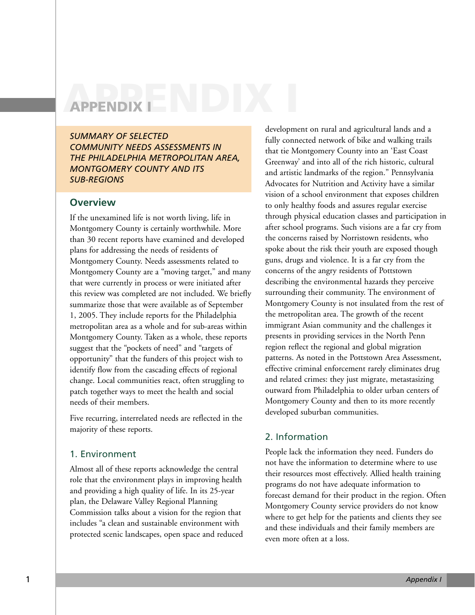# **APPENDIX I APPENDIX I**

*SUMMARY OF SELECTED COMMUNITY NEEDS ASSESSMENTS IN THE PHILADELPHIA METROPOLITAN AREA, MONTGOMERY COUNTY AND ITS SUB-REGIONS*

## **Overview**

If the unexamined life is not worth living, life in Montgomery County is certainly worthwhile. More than 30 recent reports have examined and developed plans for addressing the needs of residents of Montgomery County. Needs assessments related to Montgomery County are a "moving target," and many that were currently in process or were initiated after this review was completed are not included. We briefly summarize those that were available as of September 1, 2005. They include reports for the Philadelphia metropolitan area as a whole and for sub-areas within Montgomery County. Taken as a whole, these reports suggest that the "pockets of need" and "targets of opportunity" that the funders of this project wish to identify flow from the cascading effects of regional change. Local communities react, often struggling to patch together ways to meet the health and social needs of their members.

Five recurring, interrelated needs are reflected in the majority of these reports.

### 1. Environment

Almost all of these reports acknowledge the central role that the environment plays in improving health and providing a high quality of life. In its 25-year plan, the Delaware Valley Regional Planning Commission talks about a vision for the region that includes "a clean and sustainable environment with protected scenic landscapes, open space and reduced development on rural and agricultural lands and a fully connected network of bike and walking trails that tie Montgomery County into an 'East Coast Greenway' and into all of the rich historic, cultural and artistic landmarks of the region." Pennsylvania Advocates for Nutrition and Activity have a similar vision of a school environment that exposes children to only healthy foods and assures regular exercise through physical education classes and participation in after school programs. Such visions are a far cry from the concerns raised by Norristown residents, who spoke about the risk their youth are exposed though guns, drugs and violence. It is a far cry from the concerns of the angry residents of Pottstown describing the environmental hazards they perceive surrounding their community. The environment of Montgomery County is not insulated from the rest of the metropolitan area. The growth of the recent immigrant Asian community and the challenges it presents in providing services in the North Penn region reflect the regional and global migration patterns. As noted in the Pottstown Area Assessment, effective criminal enforcement rarely eliminates drug and related crimes: they just migrate, metastasizing outward from Philadelphia to older urban centers of Montgomery County and then to its more recently developed suburban communities.

# 2. Information

People lack the information they need. Funders do not have the information to determine where to use their resources most effectively. Allied health training programs do not have adequate information to forecast demand for their product in the region. Often Montgomery County service providers do not know where to get help for the patients and clients they see and these individuals and their family members are even more often at a loss.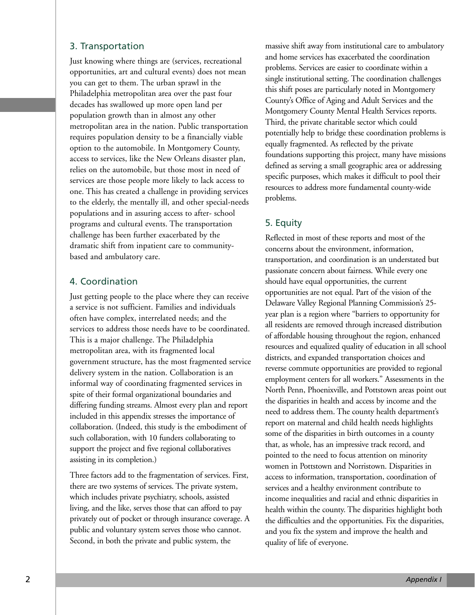## 3. Transportation

Just knowing where things are (services, recreational opportunities, art and cultural events) does not mean you can get to them. The urban sprawl in the Philadelphia metropolitan area over the past four decades has swallowed up more open land per population growth than in almost any other metropolitan area in the nation. Public transportation requires population density to be a financially viable option to the automobile. In Montgomery County, access to services, like the New Orleans disaster plan, relies on the automobile, but those most in need of services are those people more likely to lack access to one. This has created a challenge in providing services to the elderly, the mentally ill, and other special-needs populations and in assuring access to after- school programs and cultural events. The transportation challenge has been further exacerbated by the dramatic shift from inpatient care to communitybased and ambulatory care.

# 4. Coordination

Just getting people to the place where they can receive a service is not sufficient. Families and individuals often have complex, interrelated needs; and the services to address those needs have to be coordinated. This is a major challenge. The Philadelphia metropolitan area, with its fragmented local government structure, has the most fragmented service delivery system in the nation. Collaboration is an informal way of coordinating fragmented services in spite of their formal organizational boundaries and differing funding streams. Almost every plan and report included in this appendix stresses the importance of collaboration. (Indeed, this study is the embodiment of such collaboration, with 10 funders collaborating to support the project and five regional collaboratives assisting in its completion.)

Three factors add to the fragmentation of services. First, there are two systems of services. The private system, which includes private psychiatry, schools, assisted living, and the like, serves those that can afford to pay privately out of pocket or through insurance coverage. A public and voluntary system serves those who cannot. Second, in both the private and public system, the

massive shift away from institutional care to ambulatory and home services has exacerbated the coordination problems. Services are easier to coordinate within a single institutional setting. The coordination challenges this shift poses are particularly noted in Montgomery County's Office of Aging and Adult Services and the Montgomery County Mental Health Services reports. Third, the private charitable sector which could potentially help to bridge these coordination problems is equally fragmented. As reflected by the private foundations supporting this project, many have missions defined as serving a small geographic area or addressing specific purposes, which makes it difficult to pool their resources to address more fundamental county-wide problems.

# 5. Equity

Reflected in most of these reports and most of the concerns about the environment, information, transportation, and coordination is an understated but passionate concern about fairness. While every one should have equal opportunities, the current opportunities are not equal. Part of the vision of the Delaware Valley Regional Planning Commission's 25 year plan is a region where "barriers to opportunity for all residents are removed through increased distribution of affordable housing throughout the region, enhanced resources and equalized quality of education in all school districts, and expanded transportation choices and reverse commute opportunities are provided to regional employment centers for all workers." Assessments in the North Penn, Phoenixville, and Pottstown areas point out the disparities in health and access by income and the need to address them. The county health department's report on maternal and child health needs highlights some of the disparities in birth outcomes in a county that, as whole, has an impressive track record, and pointed to the need to focus attention on minority women in Pottstown and Norristown. Disparities in access to information, transportation, coordination of services and a healthy environment contribute to income inequalities and racial and ethnic disparities in health within the county. The disparities highlight both the difficulties and the opportunities. Fix the disparities, and you fix the system and improve the health and quality of life of everyone.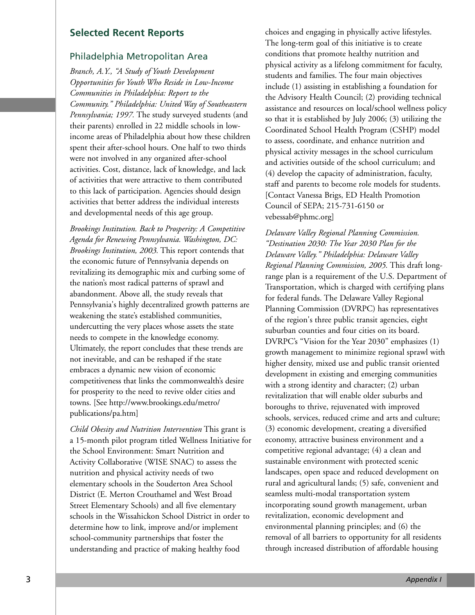## **Selected Recent Reports**

## Philadelphia Metropolitan Area

*Branch, A.Y., "A Study of Youth Development Opportunities for Youth Who Reside in Low-Income Communities in Philadelphia: Report to the Community." Philadelphia: United Way of Southeastern Pennsylvania; 1997.* The study surveyed students (and their parents) enrolled in 22 middle schools in lowincome areas of Philadelphia about how these children spent their after-school hours. One half to two thirds were not involved in any organized after-school activities. Cost, distance, lack of knowledge, and lack of activities that were attractive to them contributed to this lack of participation. Agencies should design activities that better address the individual interests and developmental needs of this age group.

*Brookings Institution. Back to Prosperity: A Competitive Agenda for Renewing Pennsylvania. Washington, DC: Brookings Institution, 2003.* This report contends that the economic future of Pennsylvania depends on revitalizing its demographic mix and curbing some of the nation's most radical patterns of sprawl and abandonment. Above all, the study reveals that Pennsylvania's highly decentralized growth patterns are weakening the state's established communities, undercutting the very places whose assets the state needs to compete in the knowledge economy. Ultimately, the report concludes that these trends are not inevitable, and can be reshaped if the state embraces a dynamic new vision of economic competitiveness that links the commonwealth's desire for prosperity to the need to revive older cities and towns. [See http://www.brookings.edu/metro/ publications/pa.htm]

*Child Obesity and Nutrition Intervention* This grant is a 15-month pilot program titled Wellness Initiative for the School Environment: Smart Nutrition and Activity Collaborative (WISE SNAC) to assess the nutrition and physical activity needs of two elementary schools in the Souderton Area School District (E. Merton Crouthamel and West Broad Street Elementary Schools) and all five elementary schools in the Wissahickon School District in order to determine how to link, improve and/or implement school-community partnerships that foster the understanding and practice of making healthy food

choices and engaging in physically active lifestyles. The long-term goal of this initiative is to create conditions that promote healthy nutrition and physical activity as a lifelong commitment for faculty, students and families. The four main objectives include (1) assisting in establishing a foundation for the Advisory Health Council; (2) providing technical assistance and resources on local/school wellness policy so that it is established by July 2006; (3) utilizing the Coordinated School Health Program (CSHP) model to assess, coordinate, and enhance nutrition and physical activity messages in the school curriculum and activities outside of the school curriculum; and (4) develop the capacity of administration, faculty, staff and parents to become role models for students. [Contact Vanessa Brigs, ED Health Promotion Council of SEPA; 215-731-6150 or vebessab@phmc.org]

*Delaware Valley Regional Planning Commission. "Destination 2030: The Year 2030 Plan for the Delaware Valley." Philadelphia: Delaware Valley Regional Planning Commission, 2005.* This draft longrange plan is a requirement of the U.S. Department of Transportation, which is charged with certifying plans for federal funds. The Delaware Valley Regional Planning Commission (DVRPC) has representatives of the region's three public transit agencies, eight suburban counties and four cities on its board. DVRPC's "Vision for the Year 2030" emphasizes (1) growth management to minimize regional sprawl with higher density, mixed use and public transit oriented development in existing and emerging communities with a strong identity and character; (2) urban revitalization that will enable older suburbs and boroughs to thrive, rejuvenated with improved schools, services, reduced crime and arts and culture; (3) economic development, creating a diversified economy, attractive business environment and a competitive regional advantage; (4) a clean and sustainable environment with protected scenic landscapes, open space and reduced development on rural and agricultural lands; (5) safe, convenient and seamless multi-modal transportation system incorporating sound growth management, urban revitalization, economic development and environmental planning principles; and (6) the removal of all barriers to opportunity for all residents through increased distribution of affordable housing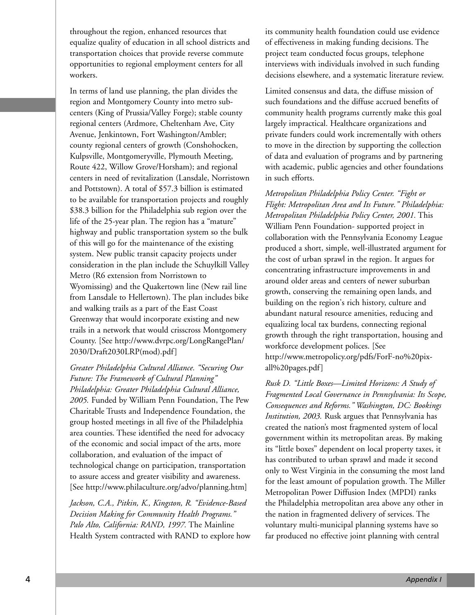throughout the region, enhanced resources that equalize quality of education in all school districts and transportation choices that provide reverse commute opportunities to regional employment centers for all workers.

In terms of land use planning, the plan divides the region and Montgomery County into metro subcenters (King of Prussia/Valley Forge); stable county regional centers (Ardmore, Cheltenham Ave, City Avenue, Jenkintown, Fort Washington/Ambler; county regional centers of growth (Conshohocken, Kulpsville, Montgomeryville, Plymouth Meeting, Route 422, Willow Grove/Horsham); and regional centers in need of revitalization (Lansdale, Norristown and Pottstown). A total of \$57.3 billion is estimated to be available for transportation projects and roughly \$38.3 billion for the Philadelphia sub region over the life of the 25-year plan. The region has a "mature" highway and public transportation system so the bulk of this will go for the maintenance of the existing system. New public transit capacity projects under consideration in the plan include the Schuylkill Valley Metro (R6 extension from Norristown to Wyomissing) and the Quakertown line (New rail line from Lansdale to Hellertown). The plan includes bike and walking trails as a part of the East Coast Greenway that would incorporate existing and new trails in a network that would crisscross Montgomery County. [See http://www.dvrpc.org/LongRangePlan/ 2030/Draft2030LRP(mod).pdf]

*Greater Philadelphia Cultural Alliance. "Securing Our Future: The Framework of Cultural Planning" Philadelphia: Greater Philadelphia Cultural Alliance, 2005.* Funded by William Penn Foundation, The Pew Charitable Trusts and Independence Foundation, the group hosted meetings in all five of the Philadelphia area counties. These identified the need for advocacy of the economic and social impact of the arts, more collaboration, and evaluation of the impact of technological change on participation, transportation to assure access and greater visibility and awareness. [See http://www.philaculture.org/advo/planning.htm]

*Jackson, C.A., Pitkin, K., Kingston, R. "Evidence-Based Decision Making for Community Health Programs." Palo Alto, California: RAND, 1997.* The Mainline Health System contracted with RAND to explore how its community health foundation could use evidence of effectiveness in making funding decisions. The project team conducted focus groups, telephone interviews with individuals involved in such funding decisions elsewhere, and a systematic literature review.

Limited consensus and data, the diffuse mission of such foundations and the diffuse accrued benefits of community health programs currently make this goal largely impractical. Healthcare organizations and private funders could work incrementally with others to move in the direction by supporting the collection of data and evaluation of programs and by partnering with academic, public agencies and other foundations in such efforts.

*Metropolitan Philadelphia Policy Center. "Fight or Flight: Metropolitan Area and Its Future." Philadelphia: Metropolitan Philadelphia Policy Center, 2001.* This William Penn Foundation- supported project in collaboration with the Pennsylvania Economy League produced a short, simple, well-illustrated argument for the cost of urban sprawl in the region. It argues for concentrating infrastructure improvements in and around older areas and centers of newer suburban growth, conserving the remaining open lands, and building on the region's rich history, culture and abundant natural resource amenities, reducing and equalizing local tax burdens, connecting regional growth through the right transportation, housing and workforce development polices. [See http://www.metropolicy.org/pdfs/ForF-no%20pixall%20pages.pdf]

*Rusk D. "Little Boxes—Limited Horizons: A Study of Fragmented Local Governance in Pennsylvania: Its Scope, Consequences and Reforms." Washington, DC: Bookings Institution, 2003.* Rusk argues that Pennsylvania has created the nation's most fragmented system of local government within its metropolitan areas. By making its "little boxes" dependent on local property taxes, it has contributed to urban sprawl and made it second only to West Virginia in the consuming the most land for the least amount of population growth. The Miller Metropolitan Power Diffusion Index (MPDI) ranks the Philadelphia metropolitan area above any other in the nation in fragmented delivery of services. The voluntary multi-municipal planning systems have so far produced no effective joint planning with central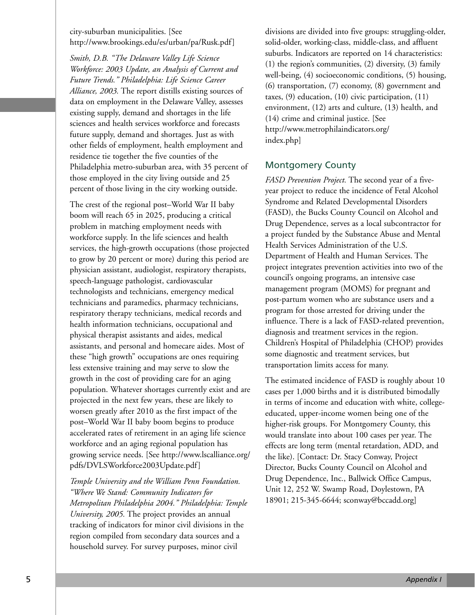city-suburban municipalities. [See http://www.brookings.edu/es/urban/pa/Rusk.pdf]

*Smith, D.B. "The Delaware Valley Life Science Workforce: 2003 Update, an Analysis of Current and Future Trends." Philadelphia: Life Science Career Alliance, 2003.* The report distills existing sources of data on employment in the Delaware Valley, assesses existing supply, demand and shortages in the life sciences and health services workforce and forecasts future supply, demand and shortages. Just as with other fields of employment, health employment and residence tie together the five counties of the Philadelphia metro-suburban area, with 35 percent of those employed in the city living outside and 25 percent of those living in the city working outside.

The crest of the regional post–World War II baby boom will reach 65 in 2025, producing a critical problem in matching employment needs with workforce supply. In the life sciences and health services, the high-growth occupations (those projected to grow by 20 percent or more) during this period are physician assistant, audiologist, respiratory therapists, speech-language pathologist, cardiovascular technologists and technicians, emergency medical technicians and paramedics, pharmacy technicians, respiratory therapy technicians, medical records and health information technicians, occupational and physical therapist assistants and aides, medical assistants, and personal and homecare aides. Most of these "high growth" occupations are ones requiring less extensive training and may serve to slow the growth in the cost of providing care for an aging population. Whatever shortages currently exist and are projected in the next few years, these are likely to worsen greatly after 2010 as the first impact of the post–World War II baby boom begins to produce accelerated rates of retirement in an aging life science workforce and an aging regional population has growing service needs. [See http://www.lscalliance.org/ pdfs/DVLSWorkforce2003Update.pdf]

*Temple University and the William Penn Foundation. "Where We Stand: Community Indicators for Metropolitan Philadelphia 2004." Philadelphia: Temple University, 2005.* The project provides an annual tracking of indicators for minor civil divisions in the region compiled from secondary data sources and a household survey. For survey purposes, minor civil

divisions are divided into five groups: struggling-older, solid-older, working-class, middle-class, and affluent suburbs. Indicators are reported on 14 characteristics: (1) the region's communities, (2) diversity, (3) family well-being, (4) socioeconomic conditions, (5) housing, (6) transportation, (7) economy, (8) government and taxes, (9) education, (10) civic participation, (11) environment, (12) arts and culture, (13) health, and (14) crime and criminal justice. [See http://www.metrophilaindicators.org/ index.php]

# Montgomery County

*FASD Prevention Project.* The second year of a fiveyear project to reduce the incidence of Fetal Alcohol Syndrome and Related Developmental Disorders (FASD), the Bucks County Council on Alcohol and Drug Dependence, serves as a local subcontractor for a project funded by the Substance Abuse and Mental Health Services Administration of the U.S. Department of Health and Human Services. The project integrates prevention activities into two of the council's ongoing programs, an intensive case management program (MOMS) for pregnant and post-partum women who are substance users and a program for those arrested for driving under the influence. There is a lack of FASD-related prevention, diagnosis and treatment services in the region. Children's Hospital of Philadelphia (CHOP) provides some diagnostic and treatment services, but transportation limits access for many.

The estimated incidence of FASD is roughly about 10 cases per 1,000 births and it is distributed bimodally in terms of income and education with white, collegeeducated, upper-income women being one of the higher-risk groups. For Montgomery County, this would translate into about 100 cases per year. The effects are long term (mental retardation, ADD, and the like). [Contact: Dr. Stacy Conway, Project Director, Bucks County Council on Alcohol and Drug Dependence, Inc., Ballwick Office Campus, Unit 12, 252 W. Swamp Road, Doylestown, PA 18901; 215-345-6644; sconway@bccadd.org]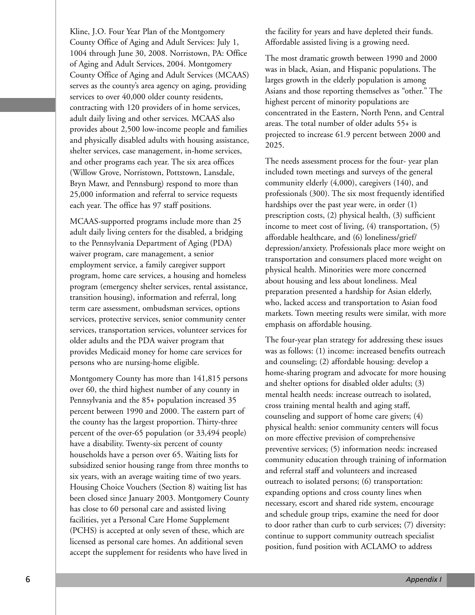Kline, J.O. Four Year Plan of the Montgomery County Office of Aging and Adult Services: July 1, 1004 through June 30, 2008. Norristown, PA: Office of Aging and Adult Services, 2004. Montgomery County Office of Aging and Adult Services (MCAAS) serves as the county's area agency on aging, providing services to over 40,000 older county residents, contracting with 120 providers of in home services, adult daily living and other services. MCAAS also provides about 2,500 low-income people and families and physically disabled adults with housing assistance, shelter services, case management, in-home services, and other programs each year. The six area offices (Willow Grove, Norristown, Pottstown, Lansdale, Bryn Mawr, and Pennsburg) respond to more than 25,000 information and referral to service requests each year. The office has 97 staff positions.

MCAAS-supported programs include more than 25 adult daily living centers for the disabled, a bridging to the Pennsylvania Department of Aging (PDA) waiver program, care management, a senior employment service, a family caregiver support program, home care services, a housing and homeless program (emergency shelter services, rental assistance, transition housing), information and referral, long term care assessment, ombudsman services, options services, protective services, senior community center services, transportation services, volunteer services for older adults and the PDA waiver program that provides Medicaid money for home care services for persons who are nursing-home eligible.

Montgomery County has more than 141,815 persons over 60, the third highest number of any county in Pennsylvania and the 85+ population increased 35 percent between 1990 and 2000. The eastern part of the county has the largest proportion. Thirty-three percent of the over-65 population (or 33,494 people) have a disability. Twenty-six percent of county households have a person over 65. Waiting lists for subsidized senior housing range from three months to six years, with an average waiting time of two years. Housing Choice Vouchers (Section 8) waiting list has been closed since January 2003. Montgomery County has close to 60 personal care and assisted living facilities, yet a Personal Care Home Supplement (PCHS) is accepted at only seven of these, which are licensed as personal care homes. An additional seven accept the supplement for residents who have lived in

the facility for years and have depleted their funds. Affordable assisted living is a growing need.

The most dramatic growth between 1990 and 2000 was in black, Asian, and Hispanic populations. The larges growth in the elderly population is among Asians and those reporting themselves as "other." The highest percent of minority populations are concentrated in the Eastern, North Penn, and Central areas. The total number of older adults 55+ is projected to increase 61.9 percent between 2000 and 2025.

The needs assessment process for the four- year plan included town meetings and surveys of the general community elderly (4,000), caregivers (140), and professionals (300). The six most frequently identified hardships over the past year were, in order (1) prescription costs, (2) physical health, (3) sufficient income to meet cost of living, (4) transportation, (5) affordable healthcare, and (6) loneliness/grief/ depression/anxiety. Professionals place more weight on transportation and consumers placed more weight on physical health. Minorities were more concerned about housing and less about loneliness. Meal preparation presented a hardship for Asian elderly, who, lacked access and transportation to Asian food markets. Town meeting results were similar, with more emphasis on affordable housing.

The four-year plan strategy for addressing these issues was as follows: (1) income: increased benefits outreach and counseling; (2) affordable housing: develop a home-sharing program and advocate for more housing and shelter options for disabled older adults; (3) mental health needs: increase outreach to isolated, cross training mental health and aging staff, counseling and support of home care givers; (4) physical health: senior community centers will focus on more effective prevision of comprehensive preventive services; (5) information needs: increased community education through training of information and referral staff and volunteers and increased outreach to isolated persons; (6) transportation: expanding options and cross county lines when necessary, escort and shared ride system, encourage and schedule group trips, examine the need for door to door rather than curb to curb services; (7) diversity: continue to support community outreach specialist position, fund position with ACLAMO to address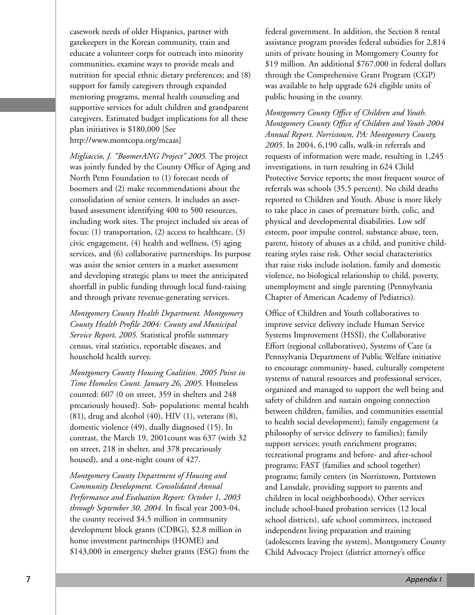casework needs of older Hispanics, partner with gatekeepers in the Korean community, train and educate a volunteer corps for outreach into minority communities, examine ways to provide meals and nutrition for special ethnic dietary preferences; and (8) support for family caregivers through expanded mentoring programs, mental health counseling and supportive services for adult children and grandparent caregivers. Estimated budget implications for all these plan initiatives is \$180,000 [See http://www.montcopa.org/mcaas]

*Migliaccio, J. "BoomerANG Project" 2005.* The project was jointly funded by the County Office of Aging and North Penn Foundation to (1) forecast needs of boomers and (2) make recommendations about the consolidation of senior centers. It includes an assetbased assessment identifying 400 to 500 resources, including work sites. The project included six areas of focus: (1) transportation, (2) access to healthcare, (3) civic engagement, (4) health and wellness, (5) aging services, and (6) collaborative partnerships. Its purpose was assist the senior centers in a market assessment and developing strategic plans to meet the anticipated shortfall in public funding through local fund-raising and through private revenue-generating services.

*Montgomery County Health Department. Montgomery County Health Profile 2004: County and Municipal Service Report, 2005.* Statistical profile summary census, vital statistics, reportable diseases, and household health survey.

*Montgomery County Housing Coalition. 2005 Point in Time Homeless Count. January 26, 2005.* Homeless counted: 607 (0 on street, 359 in shelters and 248 precariously housed). Sub- populations: mental health  $(81)$ , drug and alcohol  $(40)$ , HIV  $(1)$ , veterans  $(8)$ , domestic violence (49), dually diagnosed (15). In contrast, the March 19, 2001count was 637 (with 32 on street, 218 in shelter, and 378 precariously housed), and a one-night count of 427.

*Montgomery County Department of Housing and Community Development. Consolidated Annual Performance and Evaluation Report: October 1, 2003 through September 30, 2004.* In fiscal year 2003-04, the county received \$4.5 million in community development block grants (CDBG), \$2.8 million in home investment partnerships (HOME) and \$143,000 in emergency shelter grants (ESG) from the

federal government. In addition, the Section 8 rental assistance program provides federal subsidies for 2,814 units of private housing in Montgomery County for \$19 million. An additional \$767,000 in federal dollars through the Comprehensive Grant Program (CGP) was available to help upgrade 624 eligible units of public housing in the county.

*Montgomery County Office of Children and Youth. Montgomery County Office of Children and Youth 2004 Annual Report. Norristown, PA: Montgomery County, 2005.* In 2004, 6,190 calls, walk-in referrals and requests of information were made, resulting in 1,245 investigations, in turn resulting in 624 Child Protective Service reports; the most frequent source of referrals was schools (35.5 percent). No child deaths reported to Children and Youth. Abuse is more likely to take place in cases of premature birth, colic, and physical and developmental disabilities. Low self esteem, poor impulse control, substance abuse, teen, parent, history of abuses as a child, and punitive childrearing styles raise risk. Other social characteristics that raise risks include isolation, family and domestic violence, no biological relationship to child, poverty, unemployment and single parenting (Pennsylvania Chapter of American Academy of Pediatrics).

Office of Children and Youth collaboratives to improve service delivery include Human Service Systems Improvement (HSSI), the Collaborative Effort (regional collaboratives), Systems of Care (a Pennsylvania Department of Public Welfare initiative to encourage community- based, culturally competent systems of natural resources and professional services, organized and managed to support the well being and safety of children and sustain ongoing connection between children, families, and communities essential to health social development); family engagement (a philosophy of service delivery to families); family support services; youth enrichment programs; recreational programs and before- and after-school programs; FAST (families and school together) programs; family centers (in Norristown, Pottstown and Lansdale, providing support to parents and children in local neighborhoods). Other services include school-based probation services (12 local school districts), safe school committees, increased independent living preparation and training (adolescents leaving the system), Montgomery County Child Advocacy Project (district attorney's office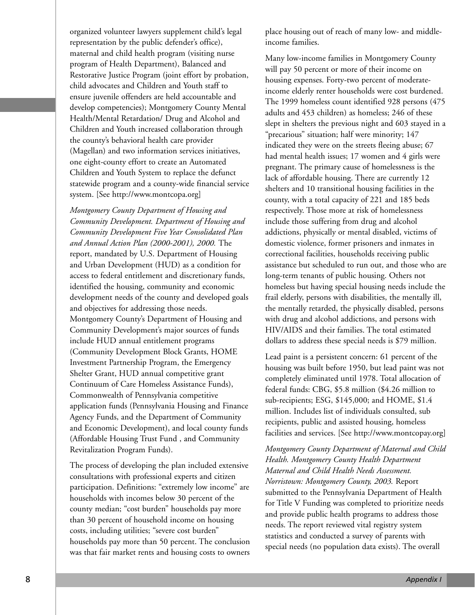organized volunteer lawyers supplement child's legal representation by the public defender's office), maternal and child health program (visiting nurse program of Health Department), Balanced and Restorative Justice Program (joint effort by probation, child advocates and Children and Youth staff to ensure juvenile offenders are held accountable and develop competencies); Montgomery County Mental Health/Mental Retardation/ Drug and Alcohol and Children and Youth increased collaboration through the county's behavioral health care provider (Magellan) and two information services initiatives, one eight-county effort to create an Automated Children and Youth System to replace the defunct statewide program and a county-wide financial service system. [See http://www.montcopa.org]

*Montgomery County Department of Housing and Community Development. Department of Housing and Community Development Five Year Consolidated Plan and Annual Action Plan (2000-2001), 2000.* The report, mandated by U.S. Department of Housing and Urban Development (HUD) as a condition for access to federal entitlement and discretionary funds, identified the housing, community and economic development needs of the county and developed goals and objectives for addressing those needs. Montgomery County's Department of Housing and Community Development's major sources of funds include HUD annual entitlement programs (Community Development Block Grants, HOME Investment Partnership Program, the Emergency Shelter Grant, HUD annual competitive grant Continuum of Care Homeless Assistance Funds), Commonwealth of Pennsylvania competitive application funds (Pennsylvania Housing and Finance Agency Funds, and the Department of Community and Economic Development), and local county funds (Affordable Housing Trust Fund , and Community Revitalization Program Funds).

The process of developing the plan included extensive consultations with professional experts and citizen participation. Definitions: "extremely low income" are households with incomes below 30 percent of the county median; "cost burden" households pay more than 30 percent of household income on housing costs, including utilities; "severe cost burden" households pay more than 50 percent. The conclusion was that fair market rents and housing costs to owners

place housing out of reach of many low- and middleincome families.

Many low-income families in Montgomery County will pay 50 percent or more of their income on housing expenses. Forty-two percent of moderateincome elderly renter households were cost burdened. The 1999 homeless count identified 928 persons (475 adults and 453 children) as homeless; 246 of these slept in shelters the previous night and 603 stayed in a "precarious" situation; half were minority; 147 indicated they were on the streets fleeing abuse; 67 had mental health issues; 17 women and 4 girls were pregnant. The primary cause of homelessness is the lack of affordable housing. There are currently 12 shelters and 10 transitional housing facilities in the county, with a total capacity of 221 and 185 beds respectively. Those more at risk of homelessness include those suffering from drug and alcohol addictions, physically or mental disabled, victims of domestic violence, former prisoners and inmates in correctional facilities, households receiving public assistance but scheduled to run out, and those who are long-term tenants of public housing. Others not homeless but having special housing needs include the frail elderly, persons with disabilities, the mentally ill, the mentally retarded, the physically disabled, persons with drug and alcohol addictions, and persons with HIV/AIDS and their families. The total estimated dollars to address these special needs is \$79 million.

Lead paint is a persistent concern: 61 percent of the housing was built before 1950, but lead paint was not completely eliminated until 1978. Total allocation of federal funds: CBG, \$5.8 million (\$4.26 million to sub-recipients; ESG, \$145,000; and HOME, \$1.4 million. Includes list of individuals consulted, sub recipients, public and assisted housing, homeless facilities and services. [See http://www.montcopay.org]

*Montgomery County Department of Maternal and Child Health. Montgomery County Health Department Maternal and Child Health Needs Assessment. Norristown: Montgomery County, 2003.* Report submitted to the Pennsylvania Department of Health for Title V Funding was completed to prioritize needs and provide public health programs to address those needs. The report reviewed vital registry system statistics and conducted a survey of parents with special needs (no population data exists). The overall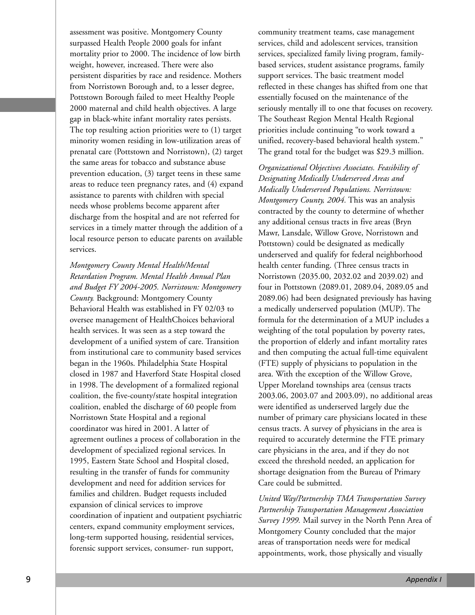assessment was positive. Montgomery County surpassed Health People 2000 goals for infant mortality prior to 2000. The incidence of low birth weight, however, increased. There were also persistent disparities by race and residence. Mothers from Norristown Borough and, to a lesser degree, Pottstown Borough failed to meet Healthy People 2000 maternal and child health objectives. A large gap in black-white infant mortality rates persists. The top resulting action priorities were to (1) target minority women residing in low-utilization areas of prenatal care (Pottstown and Norristown), (2) target the same areas for tobacco and substance abuse prevention education, (3) target teens in these same areas to reduce teen pregnancy rates, and (4) expand assistance to parents with children with special needs whose problems become apparent after discharge from the hospital and are not referred for services in a timely matter through the addition of a local resource person to educate parents on available services.

*Montgomery County Mental Health/Mental Retardation Program. Mental Health Annual Plan and Budget FY 2004-2005. Norristown: Montgomery County.* Background: Montgomery County Behavioral Health was established in FY 02/03 to oversee management of HealthChoices behavioral health services. It was seen as a step toward the development of a unified system of care. Transition from institutional care to community based services began in the 1960s. Philadelphia State Hospital closed in 1987 and Haverford State Hospital closed in 1998. The development of a formalized regional coalition, the five-county/state hospital integration coalition, enabled the discharge of 60 people from Norristown State Hospital and a regional coordinator was hired in 2001. A latter of agreement outlines a process of collaboration in the development of specialized regional services. In 1995, Eastern State School and Hospital closed, resulting in the transfer of funds for community development and need for addition services for families and children. Budget requests included expansion of clinical services to improve coordination of inpatient and outpatient psychiatric centers, expand community employment services, long-term supported housing, residential services, forensic support services, consumer- run support,

community treatment teams, case management services, child and adolescent services, transition services, specialized family living program, familybased services, student assistance programs, family support services. The basic treatment model reflected in these changes has shifted from one that essentially focused on the maintenance of the seriously mentally ill to one that focuses on recovery. The Southeast Region Mental Health Regional priorities include continuing "to work toward a unified, recovery-based behavioral health system." The grand total for the budget was \$29.3 million.

*Organizational Objectives Associates. Feasibility of Designating Medically Underserved Areas and Medically Underserved Populations. Norristown: Montgomery County, 2004.* This was an analysis contracted by the county to determine of whether any additional census tracts in five areas (Bryn Mawr, Lansdale, Willow Grove, Norristown and Pottstown) could be designated as medically underserved and qualify for federal neighborhood health center funding. (Three census tracts in Norristown (2035.00, 2032.02 and 2039.02) and four in Pottstown (2089.01, 2089.04, 2089.05 and 2089.06) had been designated previously has having a medically underserved population (MUP). The formula for the determination of a MUP includes a weighting of the total population by poverty rates, the proportion of elderly and infant mortality rates and then computing the actual full-time equivalent (FTE) supply of physicians to population in the area. With the exception of the Willow Grove, Upper Moreland townships area (census tracts 2003.06, 2003.07 and 2003.09), no additional areas were identified as underserved largely due the number of primary care physicians located in these census tracts. A survey of physicians in the area is required to accurately determine the FTE primary care physicians in the area, and if they do not exceed the threshold needed, an application for shortage designation from the Bureau of Primary Care could be submitted.

*United Way/Partnership TMA Transportation Survey Partnership Transportation Management Association Survey 1999.* Mail survey in the North Penn Area of Montgomery County concluded that the major areas of transportation needs were for medical appointments, work, those physically and visually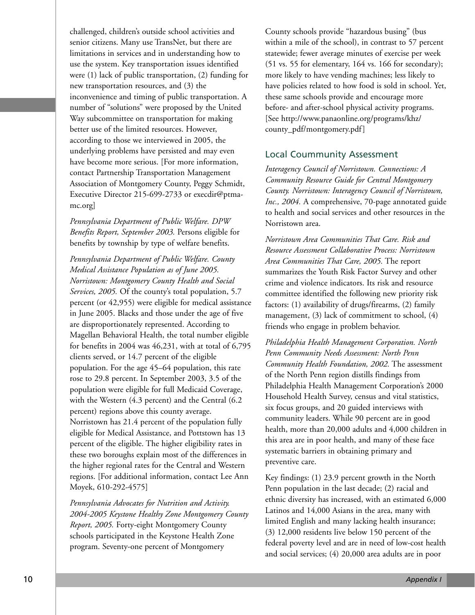challenged, children's outside school activities and senior citizens. Many use TransNet, but there are limitations in services and in understanding how to use the system. Key transportation issues identified were (1) lack of public transportation, (2) funding for new transportation resources, and (3) the inconvenience and timing of public transportation. A number of "solutions" were proposed by the United Way subcommittee on transportation for making better use of the limited resources. However, according to those we interviewed in 2005, the underlying problems have persisted and may even have become more serious. [For more information, contact Partnership Transportation Management Association of Montgomery County, Peggy Schmidt, Executive Director 215-699-2733 or execdir@ptmamc.org]

*Pennsylvania Department of Public Welfare. DPW Benefits Report, September 2003.* Persons eligible for benefits by township by type of welfare benefits.

*Pennsylvania Department of Public Welfare. County Medical Assistance Population as of June 2005. Norristown: Montgomery County Health and Social Services, 2005.* Of the county's total population, 5.7 percent (or 42,955) were eligible for medical assistance in June 2005. Blacks and those under the age of five are disproportionately represented. According to Magellan Behavioral Health, the total number eligible for benefits in 2004 was 46,231, with at total of 6,795 clients served, or 14.7 percent of the eligible population. For the age 45–64 population, this rate rose to 29.8 percent. In September 2003, 3.5 of the population were eligible for full Medicaid Coverage, with the Western (4.3 percent) and the Central (6.2 percent) regions above this county average. Norristown has 21.4 percent of the population fully eligible for Medical Assistance, and Pottstown has 13 percent of the eligible. The higher eligibility rates in these two boroughs explain most of the differences in the higher regional rates for the Central and Western regions. [For additional information, contact Lee Ann Moyek, 610-292-4575]

*Pennsylvania Advocates for Nutrition and Activity. 2004-2005 Keystone Healthy Zone Montgomery County Report, 2005.* Forty-eight Montgomery County schools participated in the Keystone Health Zone program. Seventy-one percent of Montgomery

County schools provide "hazardous busing" (bus within a mile of the school), in contrast to 57 percent statewide; fewer average minutes of exercise per week (51 vs. 55 for elementary, 164 vs. 166 for secondary); more likely to have vending machines; less likely to have policies related to how food is sold in school. Yet, these same schools provide and encourage more before- and after-school physical activity programs. [See http://www.panaonline.org/programs/khz/ county\_pdf/montgomery.pdf]

## Local Coummunity Assessment

*Interagency Council of Norristown. Connections: A Community Resource Guide for Central Montgomery County. Norristown: Interagency Council of Norristown, Inc., 2004.* A comprehensive, 70-page annotated guide to health and social services and other resources in the Norristown area.

*Norristown Area Communities That Care. Risk and Resource Assessment Collaborative Process: Norristown Area Communities That Care, 2005.* The report summarizes the Youth Risk Factor Survey and other crime and violence indicators. Its risk and resource committee identified the following new priority risk factors: (1) availability of drugs/firearms, (2) family management, (3) lack of commitment to school, (4) friends who engage in problem behavior.

*Philadelphia Health Management Corporation. North Penn Community Needs Assessment: North Penn Community Health Foundation, 2002.* The assessment of the North Penn region distills findings from Philadelphia Health Management Corporation's 2000 Household Health Survey, census and vital statistics, six focus groups, and 20 guided interviews with community leaders. While 90 percent are in good health, more than 20,000 adults and 4,000 children in this area are in poor health, and many of these face systematic barriers in obtaining primary and preventive care.

Key findings: (1) 23.9 percent growth in the North Penn population in the last decade; (2) racial and ethnic diversity has increased, with an estimated 6,000 Latinos and 14,000 Asians in the area, many with limited English and many lacking health insurance; (3) 12,000 residents live below 150 percent of the federal poverty level and are in need of low-cost health and social services; (4) 20,000 area adults are in poor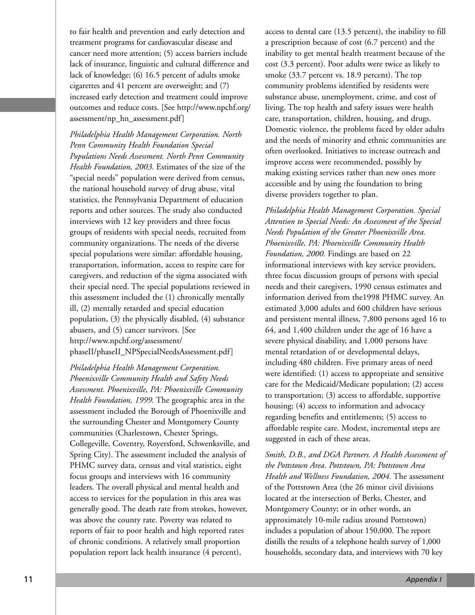to fair health and prevention and early detection and treatment programs for cardiovascular disease and cancer need more attention; (5) access barriers include lack of insurance, linguistic and cultural difference and lack of knowledge; (6) 16.5 percent of adults smoke cigarettes and 41 percent are overweight; and (7) increased early detection and treatment could improve outcomes and reduce costs. [See http://www.npchf.org/ assessment/np\_hn\_assessment.pdf]

*Philadelphia Health Management Corporation. North Penn Community Health Foundation Special Populations Needs Assessment. North Penn Community Health Foundation, 2003.* Estimates of the size of the "special needs" population were derived from census, the national household survey of drug abuse, vital statistics, the Pennsylvania Department of education reports and other sources. The study also conducted interviews with 12 key providers and three focus groups of residents with special needs, recruited from community organizations. The needs of the diverse special populations were similar: affordable housing, transportation, information, access to respite care for caregivers, and reduction of the sigma associated with their special need. The special populations reviewed in this assessment included the (1) chronically mentally ill, (2) mentally retarded and special education population, (3) the physically disabled, (4) substance abusers, and (5) cancer survivors. [See http://www.npchf.org/assessment/ phaseII/phaseII\_NPSpecialNeedsAssessment.pdf]

*Philadelphia Health Management Corporation. Phoenixville Community Health and Safety Needs Assessment. Phoenixville, PA: Phoenixville Community Health Foundation, 1999.* The geographic area in the assessment included the Borough of Phoenixville and the surrounding Chester and Montgomery County communities (Charlestown, Chester Springs, Collegeville, Coventry, Royersford, Schwenksville, and Spring City). The assessment included the analysis of PHMC survey data, census and vital statistics, eight focus groups and interviews with 16 community leaders. The overall physical and mental health and access to services for the population in this area was generally good. The death rate from strokes, however, was above the county rate. Poverty was related to reports of fair to poor health and high reported rates of chronic conditions. A relatively small proportion population report lack health insurance (4 percent),

access to dental care (13.5 percent), the inability to fill a prescription because of cost (6.7 percent) and the inability to get mental health treatment because of the cost (3.3 percent). Poor adults were twice as likely to smoke (33.7 percent vs. 18.9 percent). The top community problems identified by residents were substance abuse, unemployment, crime, and cost of living. The top health and safety issues were health care, transportation, children, housing, and drugs. Domestic violence, the problems faced by older adults and the needs of minority and ethnic communities are often overlooked. Initiatives to increase outreach and improve access were recommended, possibly by making existing services rather than new ones more accessible and by using the foundation to bring diverse providers together to plan.

*Philadelphia Health Management Corporation. Special Attention to Special Needs: An Assessment of the Special Needs Population of the Greater Phoenixville Area. Phoenixville, PA: Phoenixville Community Health Foundation, 2000.* Findings are based on 22 informational interviews with key service providers, three focus discussion groups of persons with special needs and their caregivers, 1990 census estimates and information derived from the1998 PHMC survey. An estimated 3,000 adults and 600 children have serious and persistent mental illness, 7,800 persons aged 16 to 64, and 1,400 children under the age of 16 have a severe physical disability, and 1,000 persons have mental retardation of or developmental delays, including 480 children. Five primary areas of need were identified: (1) access to appropriate and sensitive care for the Medicaid/Medicare population; (2) access to transportation; (3) access to affordable, supportive housing; (4) access to information and advocacy regarding benefits and entitlements; (5) access to affordable respite care. Modest, incremental steps are suggested in each of these areas.

*Smith, D.B., and DGA Partners. A Health Assessment of the Pottstown Area. Pottstown, PA: Pottstown Area Health and Wellness Foundation, 2004.* The assessment of the Pottstown Area (the 26 minor civil divisions located at the intersection of Berks, Chester, and Montgomery County; or in other words, an approximately 10-mile radius around Pottstown) includes a population of about 150,000. The report distills the results of a telephone health survey of 1,000 households, secondary data, and interviews with 70 key